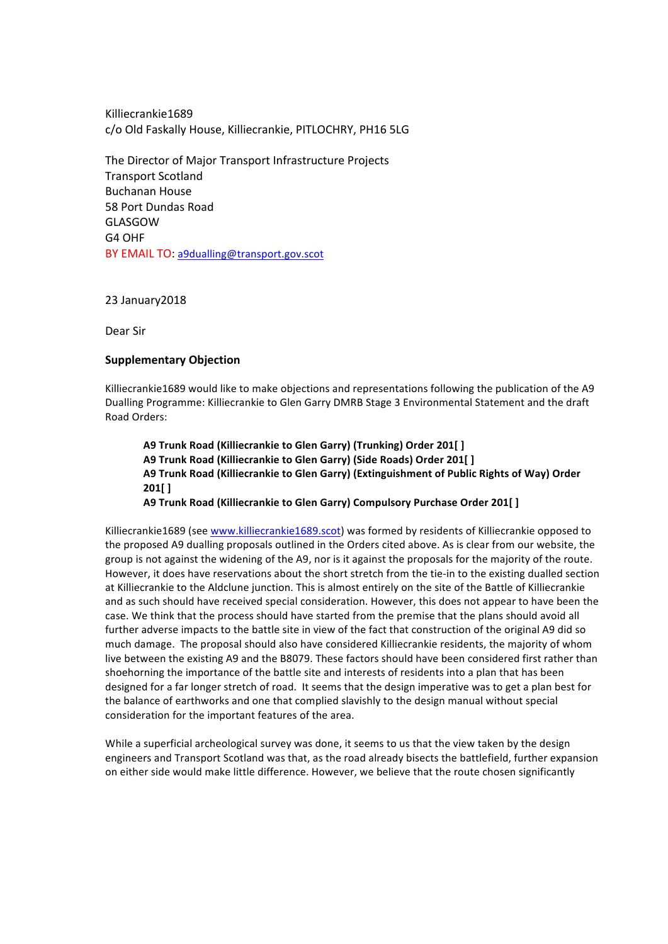Killiecrankie1689 c/o Old Faskally House, Killiecrankie, PITLOCHRY, PH16 5LG

The Director of Major Transport Infrastructure Projects Transport Scotland Buchanan House 58 Port Dundas Road GLASGOW G4 OHF BY EMAIL TO: a9dualling@transport.gov.scot

23 January2018

Dear Sir

# **Supplementary Objection**

Killiecrankie1689 would like to make objections and representations following the publication of the A9 Dualling Programme: Killiecrankie to Glen Garry DMRB Stage 3 Environmental Statement and the draft Road Orders:

A9 Trunk Road (Killiecrankie to Glen Garry) (Trunking) Order 201[] A9 Trunk Road (Killiecrankie to Glen Garry) (Side Roads) Order 201[] A9 Trunk Road (Killiecrankie to Glen Garry) (Extinguishment of Public Rights of Way) Order **201[ ]**

A9 Trunk Road (Killiecrankie to Glen Garry) Compulsory Purchase Order 201[ ]

Killiecrankie1689 (see www.killiecrankie1689.scot) was formed by residents of Killiecrankie opposed to the proposed A9 dualling proposals outlined in the Orders cited above. As is clear from our website, the group is not against the widening of the A9, nor is it against the proposals for the majority of the route. However, it does have reservations about the short stretch from the tie-in to the existing dualled section at Killiecrankie to the Aldclune junction. This is almost entirely on the site of the Battle of Killiecrankie and as such should have received special consideration. However, this does not appear to have been the case. We think that the process should have started from the premise that the plans should avoid all further adverse impacts to the battle site in view of the fact that construction of the original A9 did so much damage. The proposal should also have considered Killiecrankie residents, the majority of whom live between the existing A9 and the B8079. These factors should have been considered first rather than shoehorning the importance of the battle site and interests of residents into a plan that has been designed for a far longer stretch of road. It seems that the design imperative was to get a plan best for the balance of earthworks and one that complied slavishly to the design manual without special consideration for the important features of the area.

While a superficial archeological survey was done, it seems to us that the view taken by the design engineers and Transport Scotland was that, as the road already bisects the battlefield, further expansion on either side would make little difference. However, we believe that the route chosen significantly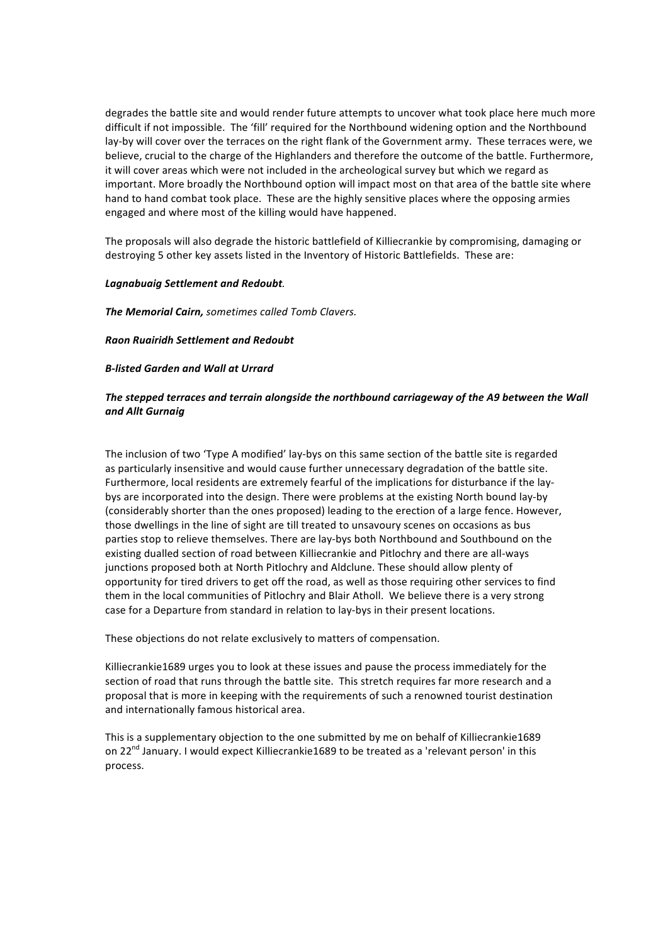degrades the battle site and would render future attempts to uncover what took place here much more difficult if not impossible. The 'fill' required for the Northbound widening option and the Northbound lay-by will cover over the terraces on the right flank of the Government army. These terraces were, we believe, crucial to the charge of the Highlanders and therefore the outcome of the battle. Furthermore, it will cover areas which were not included in the archeological survey but which we regard as important. More broadly the Northbound option will impact most on that area of the battle site where hand to hand combat took place. These are the highly sensitive places where the opposing armies engaged and where most of the killing would have happened.

The proposals will also degrade the historic battlefield of Killiecrankie by compromising, damaging or destroying 5 other key assets listed in the Inventory of Historic Battlefields. These are:

### Lagnabuaig Settlement and Redoubt.

**The Memorial Cairn,** sometimes called Tomb Clavers.

### *Raon Ruairidh Settlement and Redoubt*

### *B-listed Garden and Wall at Urrard*

# The stepped terraces and terrain alongside the northbound carriageway of the A9 between the Wall *and Allt Gurnaig*

The inclusion of two 'Type A modified' lay-bys on this same section of the battle site is regarded as particularly insensitive and would cause further unnecessary degradation of the battle site. Furthermore, local residents are extremely fearful of the implications for disturbance if the laybys are incorporated into the design. There were problems at the existing North bound lay-by (considerably shorter than the ones proposed) leading to the erection of a large fence. However, those dwellings in the line of sight are till treated to unsavoury scenes on occasions as bus parties stop to relieve themselves. There are lay-bys both Northbound and Southbound on the existing dualled section of road between Killiecrankie and Pitlochry and there are all-ways junctions proposed both at North Pitlochry and Aldclune. These should allow plenty of opportunity for tired drivers to get off the road, as well as those requiring other services to find them in the local communities of Pitlochry and Blair Atholl. We believe there is a very strong case for a Departure from standard in relation to lay-bys in their present locations.

These objections do not relate exclusively to matters of compensation.

Killiecrankie1689 urges you to look at these issues and pause the process immediately for the section of road that runs through the battle site. This stretch requires far more research and a proposal that is more in keeping with the requirements of such a renowned tourist destination and internationally famous historical area.

This is a supplementary objection to the one submitted by me on behalf of Killiecrankie1689 on 22<sup>nd</sup> January. I would expect Killiecrankie1689 to be treated as a 'relevant person' in this process.